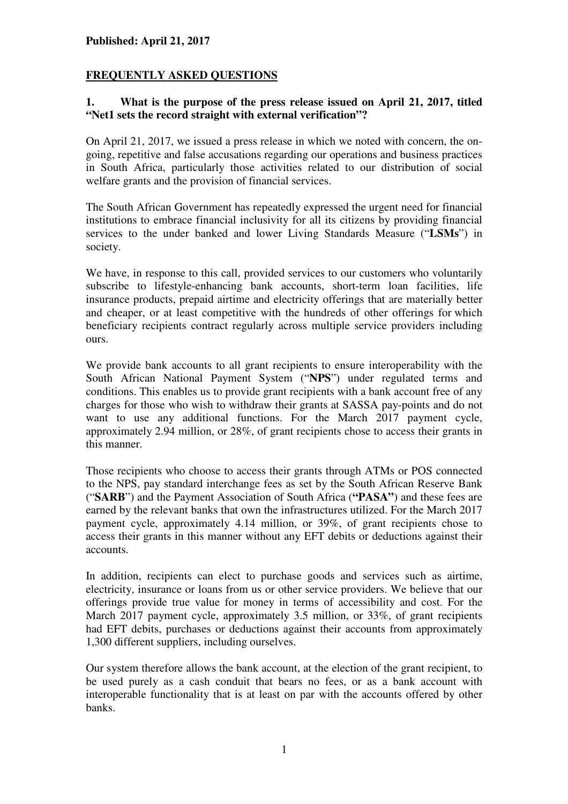# **FREQUENTLY ASKED QUESTIONS**

#### **1. What is the purpose of the press release issued on April 21, 2017, titled "Net1 sets the record straight with external verification"?**

On April 21, 2017, we issued a press release in which we noted with concern, the ongoing, repetitive and false accusations regarding our operations and business practices in South Africa, particularly those activities related to our distribution of social welfare grants and the provision of financial services.

The South African Government has repeatedly expressed the urgent need for financial institutions to embrace financial inclusivity for all its citizens by providing financial services to the under banked and lower Living Standards Measure ("**LSMs**") in society.

We have, in response to this call, provided services to our customers who voluntarily subscribe to lifestyle-enhancing bank accounts, short-term loan facilities, life insurance products, prepaid airtime and electricity offerings that are materially better and cheaper, or at least competitive with the hundreds of other offerings for which beneficiary recipients contract regularly across multiple service providers including ours.

We provide bank accounts to all grant recipients to ensure interoperability with the South African National Payment System ("**NPS**") under regulated terms and conditions. This enables us to provide grant recipients with a bank account free of any charges for those who wish to withdraw their grants at SASSA pay-points and do not want to use any additional functions. For the March 2017 payment cycle, approximately 2.94 million, or 28%, of grant recipients chose to access their grants in this manner.

Those recipients who choose to access their grants through ATMs or POS connected to the NPS, pay standard interchange fees as set by the South African Reserve Bank ("**SARB**") and the Payment Association of South Africa (**"PASA"**) and these fees are earned by the relevant banks that own the infrastructures utilized. For the March 2017 payment cycle, approximately 4.14 million, or 39%, of grant recipients chose to access their grants in this manner without any EFT debits or deductions against their accounts.

In addition, recipients can elect to purchase goods and services such as airtime, electricity, insurance or loans from us or other service providers. We believe that our offerings provide true value for money in terms of accessibility and cost. For the March 2017 payment cycle, approximately 3.5 million, or 33%, of grant recipients had EFT debits, purchases or deductions against their accounts from approximately 1,300 different suppliers, including ourselves.

Our system therefore allows the bank account, at the election of the grant recipient, to be used purely as a cash conduit that bears no fees, or as a bank account with interoperable functionality that is at least on par with the accounts offered by other banks.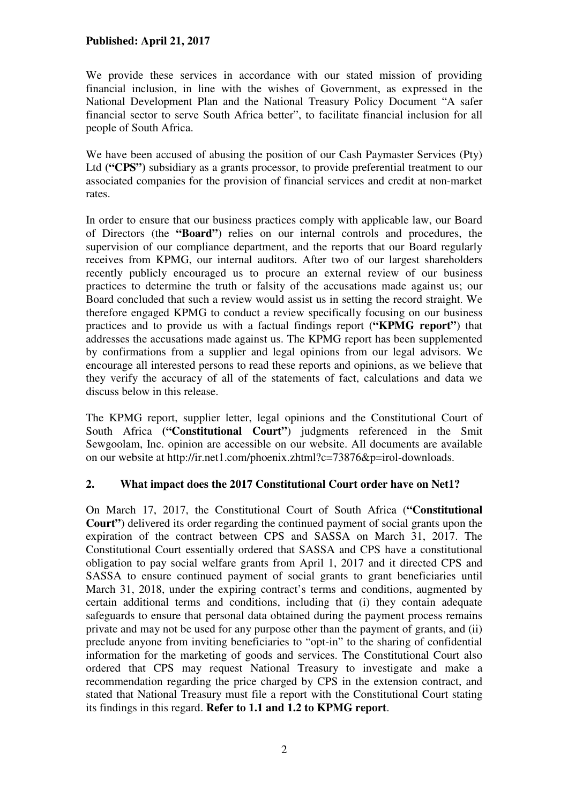We provide these services in accordance with our stated mission of providing financial inclusion, in line with the wishes of Government, as expressed in the National Development Plan and the National Treasury Policy Document "A safer financial sector to serve South Africa better", to facilitate financial inclusion for all people of South Africa.

We have been accused of abusing the position of our Cash Paymaster Services (Pty) Ltd **("CPS"**) subsidiary as a grants processor, to provide preferential treatment to our associated companies for the provision of financial services and credit at non-market rates.

In order to ensure that our business practices comply with applicable law, our Board of Directors (the **"Board"**) relies on our internal controls and procedures, the supervision of our compliance department, and the reports that our Board regularly receives from KPMG, our internal auditors. After two of our largest shareholders recently publicly encouraged us to procure an external review of our business practices to determine the truth or falsity of the accusations made against us; our Board concluded that such a review would assist us in setting the record straight. We therefore engaged KPMG to conduct a review specifically focusing on our business practices and to provide us with a factual findings report (**"KPMG report"**) that addresses the accusations made against us. The KPMG report has been supplemented by confirmations from a supplier and legal opinions from our legal advisors. We encourage all interested persons to read these reports and opinions, as we believe that they verify the accuracy of all of the statements of fact, calculations and data we discuss below in this release.

The KPMG report, supplier letter, legal opinions and the Constitutional Court of South Africa **("Constitutional Court"**) judgments referenced in the Smit Sewgoolam, Inc. opinion are accessible on our website. All documents are available on our website at http://ir.net1.com/phoenix.zhtml?c=73876&p=irol-downloads.

## **2. What impact does the 2017 Constitutional Court order have on Net1?**

On March 17, 2017, the Constitutional Court of South Africa (**"Constitutional Court"**) delivered its order regarding the continued payment of social grants upon the expiration of the contract between CPS and SASSA on March 31, 2017. The Constitutional Court essentially ordered that SASSA and CPS have a constitutional obligation to pay social welfare grants from April 1, 2017 and it directed CPS and SASSA to ensure continued payment of social grants to grant beneficiaries until March 31, 2018, under the expiring contract's terms and conditions, augmented by certain additional terms and conditions, including that (i) they contain adequate safeguards to ensure that personal data obtained during the payment process remains private and may not be used for any purpose other than the payment of grants, and (ii) preclude anyone from inviting beneficiaries to "opt-in" to the sharing of confidential information for the marketing of goods and services. The Constitutional Court also ordered that CPS may request National Treasury to investigate and make a recommendation regarding the price charged by CPS in the extension contract, and stated that National Treasury must file a report with the Constitutional Court stating its findings in this regard. **Refer to 1.1 and 1.2 to KPMG report**.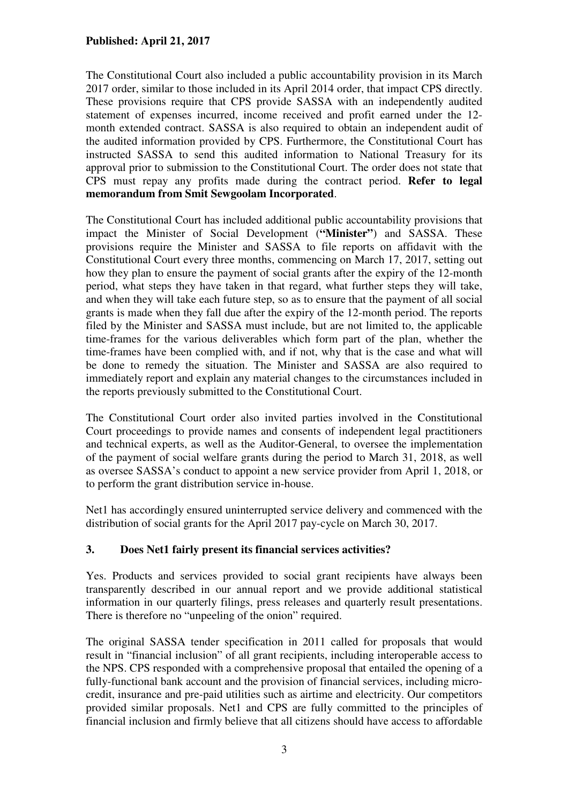The Constitutional Court also included a public accountability provision in its March 2017 order, similar to those included in its April 2014 order, that impact CPS directly. These provisions require that CPS provide SASSA with an independently audited statement of expenses incurred, income received and profit earned under the 12 month extended contract. SASSA is also required to obtain an independent audit of the audited information provided by CPS. Furthermore, the Constitutional Court has instructed SASSA to send this audited information to National Treasury for its approval prior to submission to the Constitutional Court. The order does not state that CPS must repay any profits made during the contract period. **Refer to legal memorandum from Smit Sewgoolam Incorporated**.

The Constitutional Court has included additional public accountability provisions that impact the Minister of Social Development (**"Minister"**) and SASSA. These provisions require the Minister and SASSA to file reports on affidavit with the Constitutional Court every three months, commencing on March 17, 2017, setting out how they plan to ensure the payment of social grants after the expiry of the 12-month period, what steps they have taken in that regard, what further steps they will take, and when they will take each future step, so as to ensure that the payment of all social grants is made when they fall due after the expiry of the 12-month period. The reports filed by the Minister and SASSA must include, but are not limited to, the applicable time-frames for the various deliverables which form part of the plan, whether the time-frames have been complied with, and if not, why that is the case and what will be done to remedy the situation. The Minister and SASSA are also required to immediately report and explain any material changes to the circumstances included in the reports previously submitted to the Constitutional Court.

The Constitutional Court order also invited parties involved in the Constitutional Court proceedings to provide names and consents of independent legal practitioners and technical experts, as well as the Auditor-General, to oversee the implementation of the payment of social welfare grants during the period to March 31, 2018, as well as oversee SASSA's conduct to appoint a new service provider from April 1, 2018, or to perform the grant distribution service in-house.

Net1 has accordingly ensured uninterrupted service delivery and commenced with the distribution of social grants for the April 2017 pay-cycle on March 30, 2017.

## **3. Does Net1 fairly present its financial services activities?**

Yes. Products and services provided to social grant recipients have always been transparently described in our annual report and we provide additional statistical information in our quarterly filings, press releases and quarterly result presentations. There is therefore no "unpeeling of the onion" required.

The original SASSA tender specification in 2011 called for proposals that would result in "financial inclusion" of all grant recipients, including interoperable access to the NPS. CPS responded with a comprehensive proposal that entailed the opening of a fully-functional bank account and the provision of financial services, including microcredit, insurance and pre-paid utilities such as airtime and electricity. Our competitors provided similar proposals. Net1 and CPS are fully committed to the principles of financial inclusion and firmly believe that all citizens should have access to affordable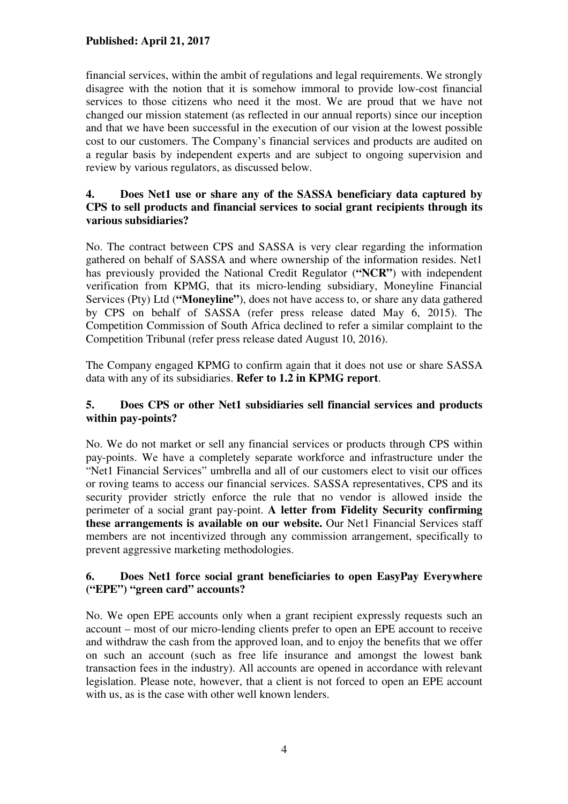financial services, within the ambit of regulations and legal requirements. We strongly disagree with the notion that it is somehow immoral to provide low-cost financial services to those citizens who need it the most. We are proud that we have not changed our mission statement (as reflected in our annual reports) since our inception and that we have been successful in the execution of our vision at the lowest possible cost to our customers. The Company's financial services and products are audited on a regular basis by independent experts and are subject to ongoing supervision and review by various regulators, as discussed below.

## **4. Does Net1 use or share any of the SASSA beneficiary data captured by CPS to sell products and financial services to social grant recipients through its various subsidiaries?**

No. The contract between CPS and SASSA is very clear regarding the information gathered on behalf of SASSA and where ownership of the information resides. Net1 has previously provided the National Credit Regulator (**"NCR"**) with independent verification from KPMG, that its micro-lending subsidiary, Moneyline Financial Services (Pty) Ltd (**"Moneyline"**), does not have access to, or share any data gathered by CPS on behalf of SASSA (refer press release dated May 6, 2015). The Competition Commission of South Africa declined to refer a similar complaint to the Competition Tribunal (refer press release dated August 10, 2016).

The Company engaged KPMG to confirm again that it does not use or share SASSA data with any of its subsidiaries. **Refer to 1.2 in KPMG report**.

## **5. Does CPS or other Net1 subsidiaries sell financial services and products within pay-points?**

No. We do not market or sell any financial services or products through CPS within pay-points. We have a completely separate workforce and infrastructure under the "Net1 Financial Services" umbrella and all of our customers elect to visit our offices or roving teams to access our financial services. SASSA representatives, CPS and its security provider strictly enforce the rule that no vendor is allowed inside the perimeter of a social grant pay-point. **A letter from Fidelity Security confirming these arrangements is available on our website.** Our Net1 Financial Services staff members are not incentivized through any commission arrangement, specifically to prevent aggressive marketing methodologies.

## **6. Does Net1 force social grant beneficiaries to open EasyPay Everywhere ("EPE") "green card" accounts?**

No. We open EPE accounts only when a grant recipient expressly requests such an account – most of our micro-lending clients prefer to open an EPE account to receive and withdraw the cash from the approved loan, and to enjoy the benefits that we offer on such an account (such as free life insurance and amongst the lowest bank transaction fees in the industry). All accounts are opened in accordance with relevant legislation. Please note, however, that a client is not forced to open an EPE account with us, as is the case with other well known lenders.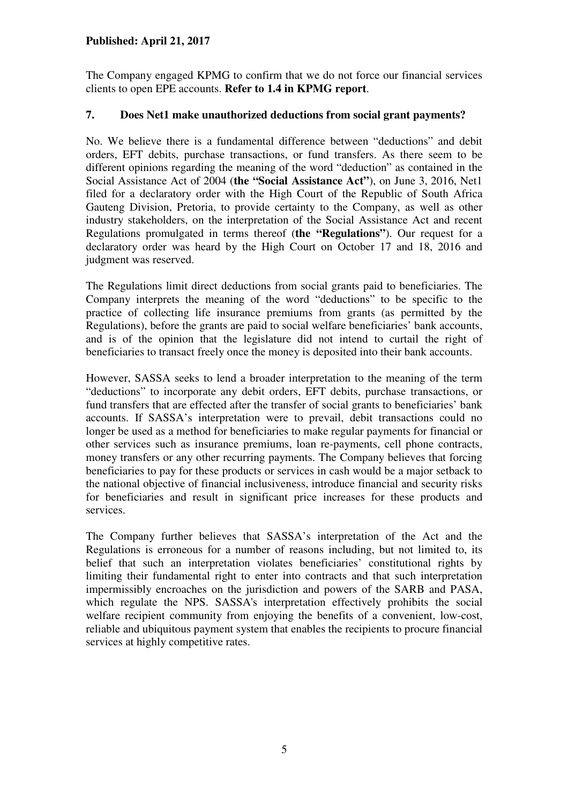The Company engaged KPMG to confirm that we do not force our financial services clients to open EPE accounts. **Refer to 1.4 in KPMG report**.

## **7. Does Net1 make unauthorized deductions from social grant payments?**

No. We believe there is a fundamental difference between "deductions" and debit orders, EFT debits, purchase transactions, or fund transfers. As there seem to be different opinions regarding the meaning of the word "deduction" as contained in the Social Assistance Act of 2004 (**the "Social Assistance Act"**), on June 3, 2016, Net1 filed for a declaratory order with the High Court of the Republic of South Africa Gauteng Division, Pretoria, to provide certainty to the Company, as well as other industry stakeholders, on the interpretation of the Social Assistance Act and recent Regulations promulgated in terms thereof (**the "Regulations"**). Our request for a declaratory order was heard by the High Court on October 17 and 18, 2016 and judgment was reserved.

The Regulations limit direct deductions from social grants paid to beneficiaries. The Company interprets the meaning of the word "deductions" to be specific to the practice of collecting life insurance premiums from grants (as permitted by the Regulations), before the grants are paid to social welfare beneficiaries' bank accounts, and is of the opinion that the legislature did not intend to curtail the right of beneficiaries to transact freely once the money is deposited into their bank accounts.

However, SASSA seeks to lend a broader interpretation to the meaning of the term "deductions" to incorporate any debit orders, EFT debits, purchase transactions, or fund transfers that are effected after the transfer of social grants to beneficiaries' bank accounts. If SASSA's interpretation were to prevail, debit transactions could no longer be used as a method for beneficiaries to make regular payments for financial or other services such as insurance premiums, loan re-payments, cell phone contracts, money transfers or any other recurring payments. The Company believes that forcing beneficiaries to pay for these products or services in cash would be a major setback to the national objective of financial inclusiveness, introduce financial and security risks for beneficiaries and result in significant price increases for these products and services.

The Company further believes that SASSA's interpretation of the Act and the Regulations is erroneous for a number of reasons including, but not limited to, its belief that such an interpretation violates beneficiaries' constitutional rights by limiting their fundamental right to enter into contracts and that such interpretation impermissibly encroaches on the jurisdiction and powers of the SARB and PASA, which regulate the NPS. SASSA's interpretation effectively prohibits the social welfare recipient community from enjoying the benefits of a convenient, low-cost, reliable and ubiquitous payment system that enables the recipients to procure financial services at highly competitive rates.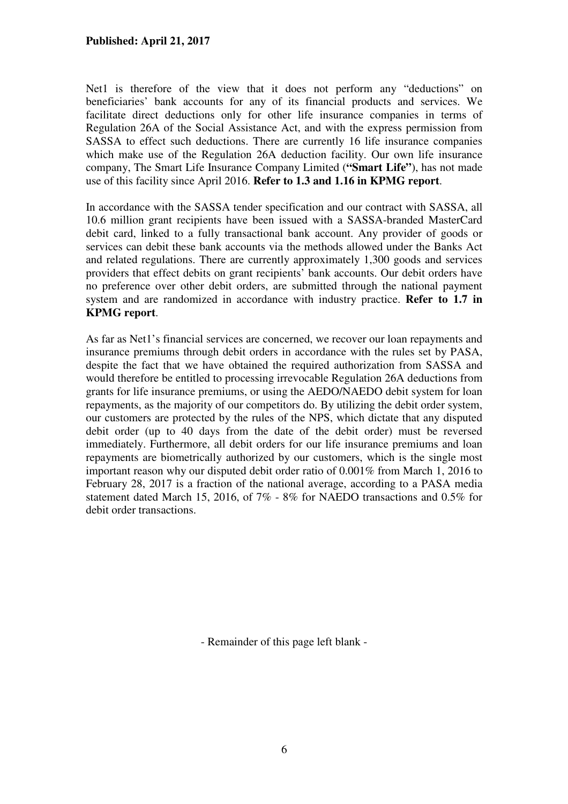Net1 is therefore of the view that it does not perform any "deductions" on beneficiaries' bank accounts for any of its financial products and services. We facilitate direct deductions only for other life insurance companies in terms of Regulation 26A of the Social Assistance Act, and with the express permission from SASSA to effect such deductions. There are currently 16 life insurance companies which make use of the Regulation 26A deduction facility. Our own life insurance company, The Smart Life Insurance Company Limited (**"Smart Life"**), has not made use of this facility since April 2016. **Refer to 1.3 and 1.16 in KPMG report**.

In accordance with the SASSA tender specification and our contract with SASSA, all 10.6 million grant recipients have been issued with a SASSA-branded MasterCard debit card, linked to a fully transactional bank account. Any provider of goods or services can debit these bank accounts via the methods allowed under the Banks Act and related regulations. There are currently approximately 1,300 goods and services providers that effect debits on grant recipients' bank accounts. Our debit orders have no preference over other debit orders, are submitted through the national payment system and are randomized in accordance with industry practice. **Refer to 1.7 in KPMG report**.

As far as Net1's financial services are concerned, we recover our loan repayments and insurance premiums through debit orders in accordance with the rules set by PASA, despite the fact that we have obtained the required authorization from SASSA and would therefore be entitled to processing irrevocable Regulation 26A deductions from grants for life insurance premiums, or using the AEDO/NAEDO debit system for loan repayments, as the majority of our competitors do. By utilizing the debit order system, our customers are protected by the rules of the NPS, which dictate that any disputed debit order (up to 40 days from the date of the debit order) must be reversed immediately. Furthermore, all debit orders for our life insurance premiums and loan repayments are biometrically authorized by our customers, which is the single most important reason why our disputed debit order ratio of 0.001% from March 1, 2016 to February 28, 2017 is a fraction of the national average, according to a PASA media statement dated March 15, 2016, of 7% - 8% for NAEDO transactions and 0.5% for debit order transactions.

- Remainder of this page left blank -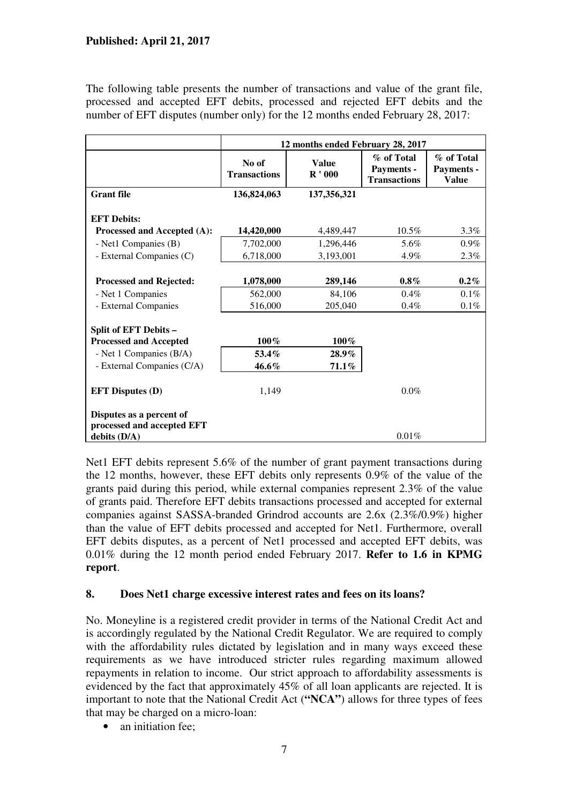The following table presents the number of transactions and value of the grant file, processed and accepted EFT debits, processed and rejected EFT debits and the number of EFT disputes (number only) for the 12 months ended February 28, 2017:

|                                           | 12 months ended February 28, 2017 |                          |                                                 |                                          |  |  |
|-------------------------------------------|-----------------------------------|--------------------------|-------------------------------------------------|------------------------------------------|--|--|
|                                           | No of<br><b>Transactions</b>      | <b>Value</b><br>$R'$ 000 | % of Total<br>Payments -<br><b>Transactions</b> | % of Total<br>Payments -<br><b>Value</b> |  |  |
| <b>Grant</b> file                         | 136,824,063                       | 137, 356, 321            |                                                 |                                          |  |  |
| <b>EFT Debits:</b>                        |                                   |                          |                                                 |                                          |  |  |
| Processed and Accepted (A):               | 14,420,000                        | 4,489,447                | $10.5\%$                                        | $3.3\%$                                  |  |  |
| - Net1 Companies (B)                      | 7,702,000                         | 1,296,446                | 5.6%                                            | $0.9\%$                                  |  |  |
| - External Companies (C)                  | 6,718,000                         | 3,193,001                | 4.9%                                            | 2.3%                                     |  |  |
| <b>Processed and Rejected:</b>            | 1,078,000                         | 289,146                  | $0.8\%$                                         | $0.2\%$                                  |  |  |
|                                           |                                   |                          | $0.4\%$                                         | 0.1%                                     |  |  |
| - Net 1 Companies<br>- External Companies | 562,000<br>516,000                | 84,106<br>205,040        | $0.4\%$                                         | $0.1\%$                                  |  |  |
|                                           |                                   |                          |                                                 |                                          |  |  |
| <b>Split of EFT Debits -</b>              |                                   |                          |                                                 |                                          |  |  |
| <b>Processed and Accepted</b>             | 100%                              | 100%                     |                                                 |                                          |  |  |
| - Net 1 Companies (B/A)                   | $53.4\%$                          | $28.9\%$                 |                                                 |                                          |  |  |
| - External Companies (C/A)                | 46.6%                             | $71.1\%$                 |                                                 |                                          |  |  |
| <b>EFT Disputes (D)</b>                   | 1,149                             |                          | $0.0\%$                                         |                                          |  |  |
| Disputes as a percent of                  |                                   |                          |                                                 |                                          |  |  |
| processed and accepted EFT                |                                   |                          |                                                 |                                          |  |  |
| debits $(D/A)$                            |                                   |                          | 0.01%                                           |                                          |  |  |

Net1 EFT debits represent 5.6% of the number of grant payment transactions during the 12 months, however, these EFT debits only represents 0.9% of the value of the grants paid during this period, while external companies represent 2.3% of the value of grants paid. Therefore EFT debits transactions processed and accepted for external companies against SASSA-branded Grindrod accounts are 2.6x (2.3%/0.9%) higher than the value of EFT debits processed and accepted for Net1. Furthermore, overall EFT debits disputes, as a percent of Net1 processed and accepted EFT debits, was 0.01% during the 12 month period ended February 2017. **Refer to 1.6 in KPMG report**.

## **8. Does Net1 charge excessive interest rates and fees on its loans?**

No. Moneyline is a registered credit provider in terms of the National Credit Act and is accordingly regulated by the National Credit Regulator. We are required to comply with the affordability rules dictated by legislation and in many ways exceed these requirements as we have introduced stricter rules regarding maximum allowed repayments in relation to income. Our strict approach to affordability assessments is evidenced by the fact that approximately 45% of all loan applicants are rejected. It is important to note that the National Credit Act (**"NCA"**) allows for three types of fees that may be charged on a micro-loan:

• an initiation fee: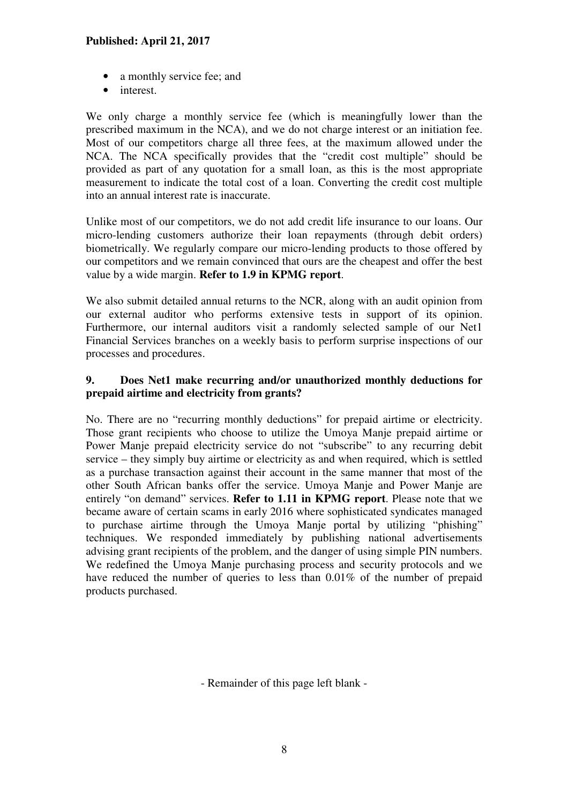- a monthly service fee; and
- interest.

We only charge a monthly service fee (which is meaningfully lower than the prescribed maximum in the NCA), and we do not charge interest or an initiation fee. Most of our competitors charge all three fees, at the maximum allowed under the NCA. The NCA specifically provides that the "credit cost multiple" should be provided as part of any quotation for a small loan, as this is the most appropriate measurement to indicate the total cost of a loan. Converting the credit cost multiple into an annual interest rate is inaccurate.

Unlike most of our competitors, we do not add credit life insurance to our loans. Our micro-lending customers authorize their loan repayments (through debit orders) biometrically. We regularly compare our micro-lending products to those offered by our competitors and we remain convinced that ours are the cheapest and offer the best value by a wide margin. **Refer to 1.9 in KPMG report**.

We also submit detailed annual returns to the NCR, along with an audit opinion from our external auditor who performs extensive tests in support of its opinion. Furthermore, our internal auditors visit a randomly selected sample of our Net1 Financial Services branches on a weekly basis to perform surprise inspections of our processes and procedures.

## **9. Does Net1 make recurring and/or unauthorized monthly deductions for prepaid airtime and electricity from grants?**

No. There are no "recurring monthly deductions" for prepaid airtime or electricity. Those grant recipients who choose to utilize the Umoya Manje prepaid airtime or Power Manje prepaid electricity service do not "subscribe" to any recurring debit service – they simply buy airtime or electricity as and when required, which is settled as a purchase transaction against their account in the same manner that most of the other South African banks offer the service. Umoya Manje and Power Manje are entirely "on demand" services. **Refer to 1.11 in KPMG report**. Please note that we became aware of certain scams in early 2016 where sophisticated syndicates managed to purchase airtime through the Umoya Manje portal by utilizing "phishing" techniques. We responded immediately by publishing national advertisements advising grant recipients of the problem, and the danger of using simple PIN numbers. We redefined the Umoya Manje purchasing process and security protocols and we have reduced the number of queries to less than  $0.01\%$  of the number of prepaid products purchased.

- Remainder of this page left blank -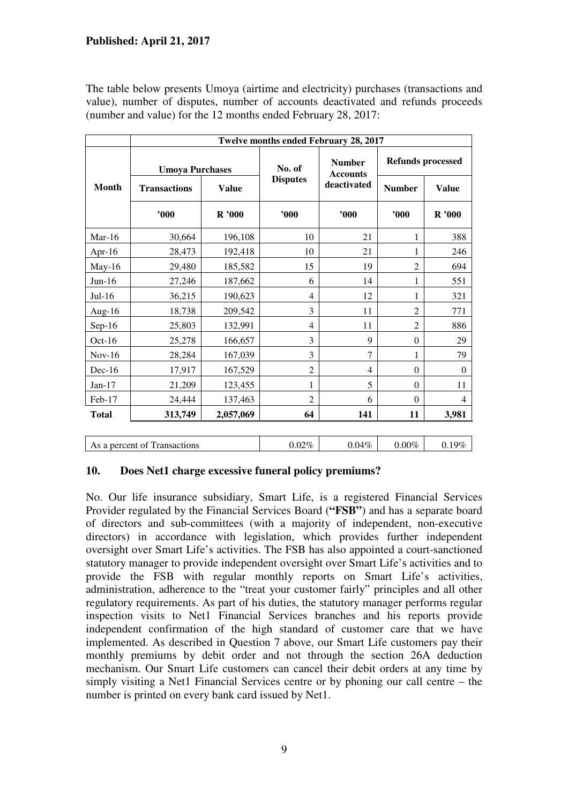The table below presents Umoya (airtime and electricity) purchases (transactions and value), number of disputes, number of accounts deactivated and refunds proceeds (number and value) for the 12 months ended February 28, 2017:

|              | Twelve months ended February 28, 2017 |              |                 |                                  |                          |                |  |  |
|--------------|---------------------------------------|--------------|-----------------|----------------------------------|--------------------------|----------------|--|--|
| <b>Month</b> | <b>Umoya Purchases</b>                |              | No. of          | <b>Number</b><br><b>Accounts</b> | <b>Refunds processed</b> |                |  |  |
|              | <b>Transactions</b>                   | <b>Value</b> | <b>Disputes</b> | deactivated                      | <b>Number</b>            | <b>Value</b>   |  |  |
|              | 000                                   | R'000        | '000            | 900'                             | "000"                    | R'000          |  |  |
| Mar- $16$    | 30,664                                | 196,108      | 10              | 21                               | 1                        | 388            |  |  |
| Apr- $16$    | 28,473                                | 192,418      | 10              | 21                               | 1                        | 246            |  |  |
| $May-16$     | 29,480                                | 185,582      | 15              | 19                               | $\overline{c}$           | 694            |  |  |
| $Jun-16$     | 27,246                                | 187,662      | 6               | 14                               | 1                        | 551            |  |  |
| $Jul-16$     | 36,215                                | 190,623      | 4               | 12                               | 1                        | 321            |  |  |
| Aug-16       | 18,738                                | 209,542      | 3               | 11                               | 2                        | 771            |  |  |
| $Sep-16$     | 25,803                                | 132,991      | 4               | 11                               | $\overline{2}$           | 886            |  |  |
| Oct-16       | 25,278                                | 166,657      | 3               | 9                                | $\boldsymbol{0}$         | 29             |  |  |
| $Nov-16$     | 28,284                                | 167,039      | 3               | $\overline{7}$                   | 1                        | 79             |  |  |
| $Dec-16$     | 17,917                                | 167,529      | $\overline{2}$  | $\overline{4}$                   | $\theta$                 | $\theta$       |  |  |
| $Jan-17$     | 21,209                                | 123,455      | 1               | 5                                | $\theta$                 | 11             |  |  |
| Feb-17       | 24,444                                | 137,463      | $\overline{2}$  | 6                                | $\theta$                 | $\overline{4}$ |  |  |
| <b>Total</b> | 313,749                               | 2,057,069    | 64              | 141                              | 11                       | 3,981          |  |  |
|              | As a percent of Transactions          |              | 0.02%           | 0.04%                            | $0.00\%$                 | 0.19%          |  |  |

## **10. Does Net1 charge excessive funeral policy premiums?**

No. Our life insurance subsidiary, Smart Life, is a registered Financial Services Provider regulated by the Financial Services Board (**"FSB"**) and has a separate board of directors and sub-committees (with a majority of independent, non-executive directors) in accordance with legislation, which provides further independent oversight over Smart Life's activities. The FSB has also appointed a court-sanctioned statutory manager to provide independent oversight over Smart Life's activities and to provide the FSB with regular monthly reports on Smart Life's activities, administration, adherence to the "treat your customer fairly" principles and all other regulatory requirements. As part of his duties, the statutory manager performs regular inspection visits to Net1 Financial Services branches and his reports provide independent confirmation of the high standard of customer care that we have implemented. As described in Question 7 above, our Smart Life customers pay their monthly premiums by debit order and not through the section 26A deduction mechanism. Our Smart Life customers can cancel their debit orders at any time by simply visiting a Net1 Financial Services centre or by phoning our call centre – the number is printed on every bank card issued by Net1.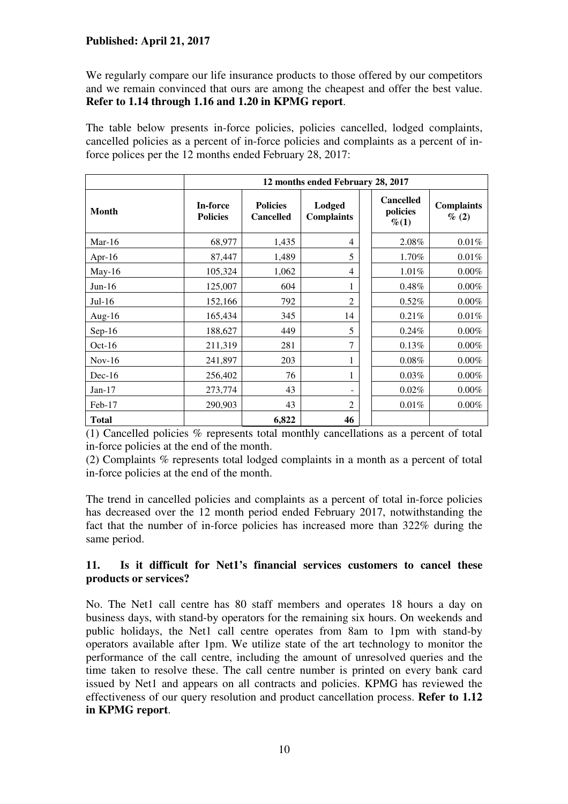We regularly compare our life insurance products to those offered by our competitors and we remain convinced that ours are among the cheapest and offer the best value. **Refer to 1.14 through 1.16 and 1.20 in KPMG report**.

The table below presents in-force policies, policies cancelled, lodged complaints, cancelled policies as a percent of in-force policies and complaints as a percent of inforce polices per the 12 months ended February 28, 2017:

|              | 12 months ended February 28, 2017 |                                     |                             |                                         |                            |  |  |
|--------------|-----------------------------------|-------------------------------------|-----------------------------|-----------------------------------------|----------------------------|--|--|
| <b>Month</b> | In-force<br><b>Policies</b>       | <b>Policies</b><br><b>Cancelled</b> | Lodged<br><b>Complaints</b> | <b>Cancelled</b><br>policies<br>$\%(1)$ | <b>Complaints</b><br>% (2) |  |  |
| Mar-16       | 68,977                            | 1,435                               | 4                           | 2.08%                                   | 0.01%                      |  |  |
| Apr-16       | 87,447                            | 1,489                               | 5                           | 1.70%                                   | 0.01%                      |  |  |
| May-16       | 105,324                           | 1,062                               | $\overline{4}$              | 1.01%                                   | $0.00\%$                   |  |  |
| $Jun-16$     | 125,007                           | 604                                 | 1                           | 0.48%                                   | $0.00\%$                   |  |  |
| $Jul-16$     | 152,166                           | 792                                 | $\overline{2}$              | 0.52%                                   | $0.00\%$                   |  |  |
| Aug- $16$    | 165,434                           | 345                                 | 14                          | 0.21%                                   | 0.01%                      |  |  |
| $Sep-16$     | 188,627                           | 449                                 | 5                           | $0.24\%$                                | $0.00\%$                   |  |  |
| Oct- $16$    | 211,319                           | 281                                 | 7                           | 0.13%                                   | $0.00\%$                   |  |  |
| $Nov-16$     | 241,897                           | 203                                 | 1                           | $0.08\%$                                | $0.00\%$                   |  |  |
| $Dec-16$     | 256,402                           | 76                                  | 1                           | 0.03%                                   | $0.00\%$                   |  |  |
| $Jan-17$     | 273,774                           | 43                                  |                             | 0.02%                                   | $0.00\%$                   |  |  |
| $Feb-17$     | 290,903                           | 43                                  | $\overline{2}$              | 0.01%                                   | $0.00\%$                   |  |  |
| <b>Total</b> |                                   | 6,822                               | 46                          |                                         |                            |  |  |

(1) Cancelled policies % represents total monthly cancellations as a percent of total in-force policies at the end of the month.

(2) Complaints % represents total lodged complaints in a month as a percent of total in-force policies at the end of the month.

The trend in cancelled policies and complaints as a percent of total in-force policies has decreased over the 12 month period ended February 2017, notwithstanding the fact that the number of in-force policies has increased more than 322% during the same period.

#### **11. Is it difficult for Net1's financial services customers to cancel these products or services?**

No. The Net1 call centre has 80 staff members and operates 18 hours a day on business days, with stand-by operators for the remaining six hours. On weekends and public holidays, the Net1 call centre operates from 8am to 1pm with stand-by operators available after 1pm. We utilize state of the art technology to monitor the performance of the call centre, including the amount of unresolved queries and the time taken to resolve these. The call centre number is printed on every bank card issued by Net1 and appears on all contracts and policies. KPMG has reviewed the effectiveness of our query resolution and product cancellation process. **Refer to 1.12 in KPMG report**.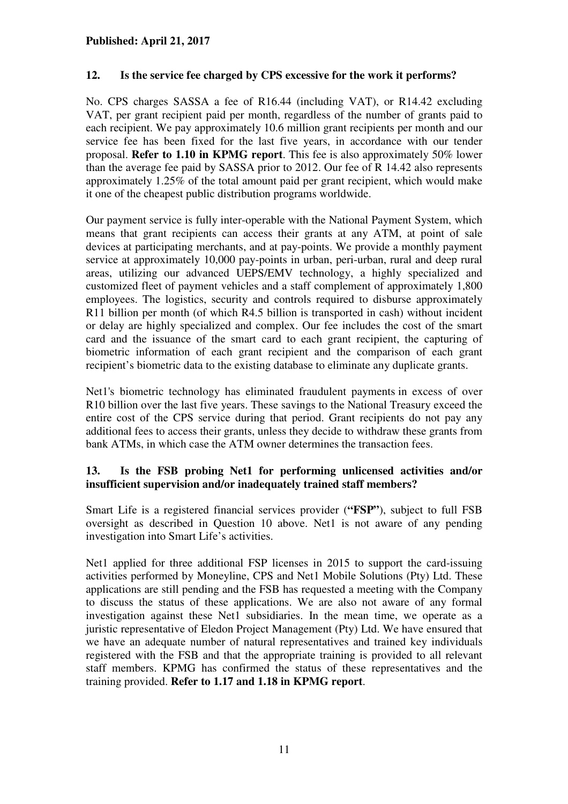## **12. Is the service fee charged by CPS excessive for the work it performs?**

No. CPS charges SASSA a fee of R16.44 (including VAT), or R14.42 excluding VAT, per grant recipient paid per month, regardless of the number of grants paid to each recipient. We pay approximately 10.6 million grant recipients per month and our service fee has been fixed for the last five years, in accordance with our tender proposal. **Refer to 1.10 in KPMG report**. This fee is also approximately 50% lower than the average fee paid by SASSA prior to 2012. Our fee of R 14.42 also represents approximately 1.25% of the total amount paid per grant recipient, which would make it one of the cheapest public distribution programs worldwide.

Our payment service is fully inter-operable with the National Payment System, which means that grant recipients can access their grants at any ATM, at point of sale devices at participating merchants, and at pay-points. We provide a monthly payment service at approximately 10,000 pay-points in urban, peri-urban, rural and deep rural areas, utilizing our advanced UEPS/EMV technology, a highly specialized and customized fleet of payment vehicles and a staff complement of approximately 1,800 employees. The logistics, security and controls required to disburse approximately R11 billion per month (of which R4.5 billion is transported in cash) without incident or delay are highly specialized and complex. Our fee includes the cost of the smart card and the issuance of the smart card to each grant recipient, the capturing of biometric information of each grant recipient and the comparison of each grant recipient's biometric data to the existing database to eliminate any duplicate grants.

Net1's biometric technology has eliminated fraudulent payments in excess of over R10 billion over the last five years. These savings to the National Treasury exceed the entire cost of the CPS service during that period. Grant recipients do not pay any additional fees to access their grants, unless they decide to withdraw these grants from bank ATMs, in which case the ATM owner determines the transaction fees.

# **13. Is the FSB probing Net1 for performing unlicensed activities and/or insufficient supervision and/or inadequately trained staff members?**

Smart Life is a registered financial services provider (**"FSP"**), subject to full FSB oversight as described in Question 10 above. Net1 is not aware of any pending investigation into Smart Life's activities.

Net1 applied for three additional FSP licenses in 2015 to support the card-issuing activities performed by Moneyline, CPS and Net1 Mobile Solutions (Pty) Ltd. These applications are still pending and the FSB has requested a meeting with the Company to discuss the status of these applications. We are also not aware of any formal investigation against these Net1 subsidiaries. In the mean time, we operate as a juristic representative of Eledon Project Management (Pty) Ltd. We have ensured that we have an adequate number of natural representatives and trained key individuals registered with the FSB and that the appropriate training is provided to all relevant staff members. KPMG has confirmed the status of these representatives and the training provided. **Refer to 1.17 and 1.18 in KPMG report**.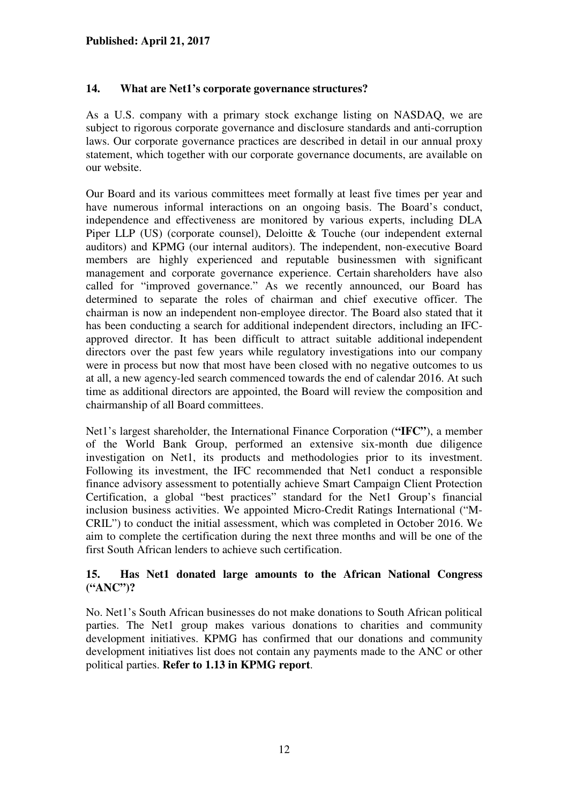# **14. What are Net1's corporate governance structures?**

As a U.S. company with a primary stock exchange listing on NASDAQ, we are subject to rigorous corporate governance and disclosure standards and anti-corruption laws. Our corporate governance practices are described in detail in our annual proxy statement, which together with our corporate governance documents, are available on our website.

Our Board and its various committees meet formally at least five times per year and have numerous informal interactions on an ongoing basis. The Board's conduct, independence and effectiveness are monitored by various experts, including DLA Piper LLP (US) (corporate counsel), Deloitte & Touche (our independent external auditors) and KPMG (our internal auditors). The independent, non-executive Board members are highly experienced and reputable businessmen with significant management and corporate governance experience. Certain shareholders have also called for "improved governance." As we recently announced, our Board has determined to separate the roles of chairman and chief executive officer. The chairman is now an independent non-employee director. The Board also stated that it has been conducting a search for additional independent directors, including an IFCapproved director. It has been difficult to attract suitable additional independent directors over the past few years while regulatory investigations into our company were in process but now that most have been closed with no negative outcomes to us at all, a new agency-led search commenced towards the end of calendar 2016. At such time as additional directors are appointed, the Board will review the composition and chairmanship of all Board committees.

Net1's largest shareholder, the International Finance Corporation (**"IFC"**), a member of the World Bank Group, performed an extensive six-month due diligence investigation on Net1, its products and methodologies prior to its investment. Following its investment, the IFC recommended that Net1 conduct a responsible finance advisory assessment to potentially achieve Smart Campaign Client Protection Certification, a global "best practices" standard for the Net1 Group's financial inclusion business activities. We appointed Micro-Credit Ratings International ("M-CRIL") to conduct the initial assessment, which was completed in October 2016. We aim to complete the certification during the next three months and will be one of the first South African lenders to achieve such certification.

## **15. Has Net1 donated large amounts to the African National Congress ("ANC")?**

No. Net1's South African businesses do not make donations to South African political parties. The Net1 group makes various donations to charities and community development initiatives. KPMG has confirmed that our donations and community development initiatives list does not contain any payments made to the ANC or other political parties. **Refer to 1.13 in KPMG report**.